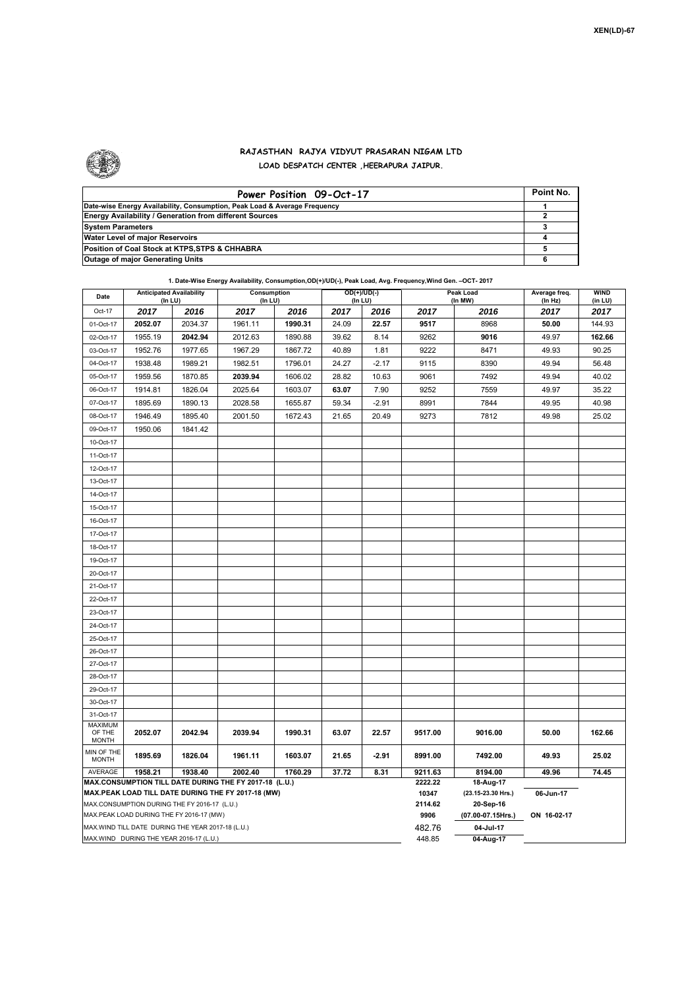

 $\mathbf{r}$ 

## **RAJASTHAN RAJYA VIDYUT PRASARAN NIGAM LTD LOAD DESPATCH CENTER ,HEERAPURA JAIPUR.**

| Power Position 09-Oct-17                                                  | Point No. |
|---------------------------------------------------------------------------|-----------|
| Date-wise Energy Availability, Consumption, Peak Load & Average Frequency |           |
| <b>Energy Availability / Generation from different Sources</b>            |           |
| <b>System Parameters</b>                                                  |           |
| Water Level of major Reservoirs                                           |           |
| Position of Coal Stock at KTPS, STPS & CHHABRA                            |           |
| <b>Outage of major Generating Units</b>                                   |           |

**1. Date-Wise Energy Availability, Consumption,OD(+)/UD(-), Peak Load, Avg. Frequency,Wind Gen. –OCT- 2017 Date Anticipated Availability Consumption** Consumption **COD(+)/UD(-)** Peak Load

| Date                                                                                                         | <b>Anticipated Availability</b><br>(In LU)         |         | Consumption<br>(In LU) | $OD(+)/UD(-)$<br>(In LU) |       |         | Peak Load<br>(In MW) | Average freq.                   | <b>WIND</b>     |                 |  |
|--------------------------------------------------------------------------------------------------------------|----------------------------------------------------|---------|------------------------|--------------------------|-------|---------|----------------------|---------------------------------|-----------------|-----------------|--|
| Oct-17                                                                                                       | 2017                                               | 2016    | 2017                   | 2016                     | 2017  | 2016    | 2017                 | 2016                            | (In Hz)<br>2017 | (in LU)<br>2017 |  |
| 01-Oct-17                                                                                                    | 2052.07                                            | 2034.37 | 1961.11                | 1990.31                  | 24.09 | 22.57   | 9517                 | 8968                            | 50.00           | 144.93          |  |
| 02-Oct-17                                                                                                    | 1955.19                                            | 2042.94 | 2012.63                | 1890.88                  | 39.62 | 8.14    | 9262                 | 9016                            | 49.97           | 162.66          |  |
| 03-Oct-17                                                                                                    | 1952.76                                            | 1977.65 | 1967.29                | 1867.72                  | 40.89 | 1.81    | 9222                 | 8471                            | 49.93           | 90.25           |  |
| 04-Oct-17                                                                                                    | 1938.48                                            | 1989.21 | 1982.51                | 1796.01                  | 24.27 | $-2.17$ | 9115                 | 8390                            | 49.94           | 56.48           |  |
| 05-Oct-17                                                                                                    | 1959.56                                            | 1870.85 | 2039.94                | 1606.02                  | 28.82 | 10.63   | 9061                 | 7492                            | 49.94           | 40.02           |  |
| 06-Oct-17                                                                                                    | 1914.81                                            | 1826.04 | 2025.64                | 1603.07                  | 63.07 | 7.90    | 9252                 | 7559                            | 49.97           | 35.22           |  |
| 07-Oct-17                                                                                                    | 1895.69                                            | 1890.13 | 2028.58                | 1655.87                  | 59.34 | $-2.91$ | 8991                 | 7844                            | 49.95           | 40.98           |  |
| 08-Oct-17                                                                                                    | 1946.49                                            | 1895.40 | 2001.50                | 1672.43                  | 21.65 | 20.49   | 9273                 | 7812                            | 49.98           | 25.02           |  |
| 09-Oct-17                                                                                                    | 1950.06                                            | 1841.42 |                        |                          |       |         |                      |                                 |                 |                 |  |
| 10-Oct-17                                                                                                    |                                                    |         |                        |                          |       |         |                      |                                 |                 |                 |  |
| 11-Oct-17                                                                                                    |                                                    |         |                        |                          |       |         |                      |                                 |                 |                 |  |
| 12-Oct-17                                                                                                    |                                                    |         |                        |                          |       |         |                      |                                 |                 |                 |  |
| 13-Oct-17                                                                                                    |                                                    |         |                        |                          |       |         |                      |                                 |                 |                 |  |
| 14-Oct-17                                                                                                    |                                                    |         |                        |                          |       |         |                      |                                 |                 |                 |  |
| 15-Oct-17                                                                                                    |                                                    |         |                        |                          |       |         |                      |                                 |                 |                 |  |
| 16-Oct-17                                                                                                    |                                                    |         |                        |                          |       |         |                      |                                 |                 |                 |  |
| 17-Oct-17                                                                                                    |                                                    |         |                        |                          |       |         |                      |                                 |                 |                 |  |
| 18-Oct-17                                                                                                    |                                                    |         |                        |                          |       |         |                      |                                 |                 |                 |  |
| 19-Oct-17                                                                                                    |                                                    |         |                        |                          |       |         |                      |                                 |                 |                 |  |
| 20-Oct-17                                                                                                    |                                                    |         |                        |                          |       |         |                      |                                 |                 |                 |  |
| 21-Oct-17                                                                                                    |                                                    |         |                        |                          |       |         |                      |                                 |                 |                 |  |
| 22-Oct-17                                                                                                    |                                                    |         |                        |                          |       |         |                      |                                 |                 |                 |  |
| 23-Oct-17                                                                                                    |                                                    |         |                        |                          |       |         |                      |                                 |                 |                 |  |
| 24-Oct-17                                                                                                    |                                                    |         |                        |                          |       |         |                      |                                 |                 |                 |  |
| 25-Oct-17                                                                                                    |                                                    |         |                        |                          |       |         |                      |                                 |                 |                 |  |
| 26-Oct-17                                                                                                    |                                                    |         |                        |                          |       |         |                      |                                 |                 |                 |  |
| 27-Oct-17                                                                                                    |                                                    |         |                        |                          |       |         |                      |                                 |                 |                 |  |
| 28-Oct-17                                                                                                    |                                                    |         |                        |                          |       |         |                      |                                 |                 |                 |  |
| 29-Oct-17                                                                                                    |                                                    |         |                        |                          |       |         |                      |                                 |                 |                 |  |
| 30-Oct-17                                                                                                    |                                                    |         |                        |                          |       |         |                      |                                 |                 |                 |  |
| 31-Oct-17                                                                                                    |                                                    |         |                        |                          |       |         |                      |                                 |                 |                 |  |
| <b>MAXIMUM</b><br>OF THE<br><b>MONTH</b>                                                                     | 2052.07                                            | 2042.94 | 2039.94                | 1990.31                  | 63.07 | 22.57   | 9517.00              | 9016.00                         | 50.00           | 162.66          |  |
| MIN OF THE<br><b>MONTH</b>                                                                                   | 1895.69                                            | 1826.04 | 1961.11                | 1603.07                  | 21.65 | $-2.91$ | 8991.00              | 7492.00                         | 49.93           | 25.02           |  |
| AVERAGE<br>1938.40<br>2002.40<br>37.72<br>8.31<br>1958.21<br>1760.29                                         |                                                    |         |                        |                          |       |         |                      | 8194.00                         | 74.45           |                 |  |
| MAX.CONSUMPTION TILL DATE DURING THE FY 2017-18 (L.U.)<br>MAX.PEAK LOAD TILL DATE DURING THE FY 2017-18 (MW) |                                                    |         |                        |                          |       |         |                      | 18-Aug-17                       |                 |                 |  |
| MAX.CONSUMPTION DURING THE FY 2016-17 (L.U.)                                                                 |                                                    |         |                        |                          |       |         |                      | (23.15-23.30 Hrs.)<br>20-Sep-16 | 06-Jun-17       |                 |  |
|                                                                                                              | MAX.PEAK LOAD DURING THE FY 2016-17 (MW)           |         |                        |                          |       |         | 2114.62<br>9906      | (07.00-07.15Hrs.)               | ON 16-02-17     |                 |  |
|                                                                                                              | MAX. WIND TILL DATE DURING THE YEAR 2017-18 (L.U.) |         |                        |                          |       |         | 482.76               | 04-Jul-17                       |                 |                 |  |
| MAX.WIND DURING THE YEAR 2016-17 (L.U.)                                                                      |                                                    |         |                        |                          |       |         |                      | 04-Aug-17                       |                 |                 |  |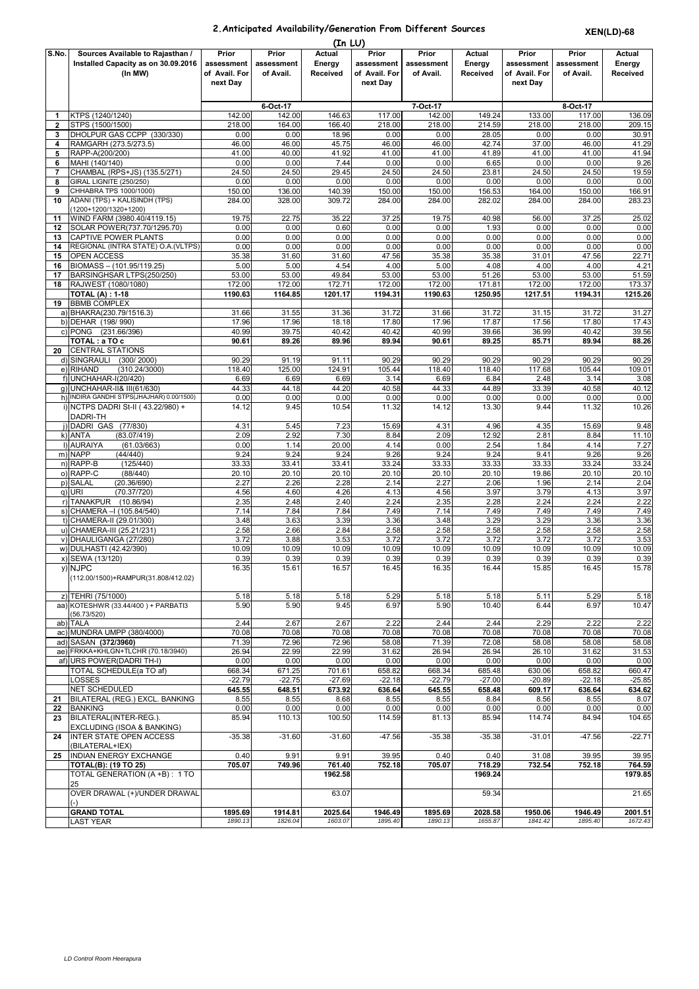## **2.Anticipated Availability/Generation From Different Sources**

**XEN(LD)-68**

|                | (In LU)                                                     |                    |                    |                    |                    |                    |                    |               |                |                 |  |  |
|----------------|-------------------------------------------------------------|--------------------|--------------------|--------------------|--------------------|--------------------|--------------------|---------------|----------------|-----------------|--|--|
| S.No.          | Sources Available to Rajasthan /                            | Prior              | Prior              | Actual             | Prior              | Prior              | Actual             | Prior         | Prior          | <b>Actual</b>   |  |  |
|                | Installed Capacity as on 30.09.2016                         | assessment         | assessment         | Energy             | assessment         | assessment         | Energy             | assessment    | assessment     | Energy          |  |  |
|                | (In MW)                                                     | of Avail. For      | of Avail.          | Received           | of Avail. For      | of Avail.          | Received           | of Avail. For | of Avail.      | <b>Received</b> |  |  |
|                |                                                             | next Day           |                    |                    | next Day           |                    |                    | next Day      |                |                 |  |  |
|                |                                                             |                    |                    |                    |                    |                    |                    |               |                |                 |  |  |
|                |                                                             |                    | 6-Oct-17           |                    |                    | 7-Oct-17           |                    |               | 8-Oct-17       |                 |  |  |
| 1              | KTPS (1240/1240)                                            | 142.00             | 142.00             | 146.63             | 117.00             | 142.00             | 149.24             | 133.00        | 117.00         | 136.09          |  |  |
| $\mathbf{2}$   | STPS (1500/1500)                                            | 218.00             | 164.00             | 166.40             | 218.00             | 218.00             | 214.59             | 218.00        | 218.00         | 209.15          |  |  |
| 3              | DHOLPUR GAS CCPP (330/330)                                  | 0.00               | 0.00               | 18.96              | 0.00               | 0.00               | 28.05              | 0.00          | 0.00           | 30.91           |  |  |
| 4              | RAMGARH (273.5/273.5)                                       | 46.00              | 46.00              | 45.75              | 46.00              | 46.00              | 42.74              | 37.00         | 46.00          | 41.29           |  |  |
| 5              | RAPP-A(200/200)                                             | 41.00              | 40.00              | 41.92              | 41.00              | 41.00              | 41.89              | 41.00         | 41.00          | 41.94           |  |  |
| 6              | MAHI (140/140)                                              | 0.00               | 0.00               | 7.44               | 0.00               | 0.00               | 6.65               | 0.00          | 0.00           | 9.26            |  |  |
| $\overline{7}$ | CHAMBAL (RPS+JS) (135.5/271)                                | 24.50              | 24.50              | 29.45              | 24.50              | 24.50              | 23.81              | 24.50         | 24.50          | 19.59           |  |  |
| 8              | GIRAL LIGNITE (250/250)                                     | 0.00               | 0.00               | 0.00               | 0.00               | 0.00               | 0.00               | 0.00          | 0.00           | 0.00            |  |  |
| 9              | CHHABRA TPS 1000/1000)                                      | 150.00             | 136.00             | 140.39             | 150.00             | 150.00             | 156.53             | 164.00        | 150.00         | 166.91          |  |  |
| 10             | ADANI (TPS) + KALISINDH (TPS)                               | 284.00             | 328.00             | 309.72             | 284.00             | 284.00             | 282.02             | 284.00        | 284.00         | 283.23          |  |  |
|                | (1200+1200/1320+1200)                                       |                    |                    |                    |                    |                    |                    |               |                |                 |  |  |
| 11             | WIND FARM (3980.40/4119.15)                                 | 19.75              | 22.75              | 35.22              | 37.25              | 19.75              | 40.98              | 56.00         | 37.25          | 25.02           |  |  |
| 12             | SOLAR POWER(737.70/1295.70)                                 | 0.00               | 0.00               | 0.60               | 0.00<br>0.00       | 0.00<br>0.00       | 1.93<br>0.00       | 0.00          | 0.00           | 0.00            |  |  |
| 13             | CAPTIVE POWER PLANTS<br>REGIONAL (INTRA STATE) O.A. (VLTPS) | 0.00               | 0.00<br>0.00       | 0.00<br>0.00       | 0.00               | 0.00               |                    | 0.00          | 0.00           | 0.00            |  |  |
| 14<br>15       | <b>OPEN ACCESS</b>                                          | 0.00<br>35.38      | 31.60              | 31.60              | 47.56              | 35.38              | 0.00<br>35.38      | 0.00<br>31.01 | 0.00<br>47.56  | 0.00<br>22.71   |  |  |
| 16             | BIOMASS - (101.95/119.25)                                   | 5.00               | 5.00               | 4.54               | 4.00               | 5.00               | 4.08               | 4.00          | 4.00           | 4.21            |  |  |
| 17             | BARSINGHSAR LTPS(250/250)                                   | 53.00              | 53.00              | 49.84              | 53.00              | 53.00              | 51.26              | 53.00         | 53.00          | 51.59           |  |  |
| 18             | RAJWEST (1080/1080)                                         | 172.00             | 172.00             | 172.71             | 172.00             | 172.00             | 171.81             | 172.00        | 172.00         | 173.37          |  |  |
|                | TOTAL (A) : 1-18                                            | 1190.63            | 1164.85            | 1201.17            | 1194.31            | 1190.63            | 1250.95            | 1217.51       | 1194.31        | 1215.26         |  |  |
| 19             | <b>BBMB COMPLEX</b>                                         |                    |                    |                    |                    |                    |                    |               |                |                 |  |  |
|                | a) BHAKRA(230.79/1516.3)                                    | 31.66              | 31.55              | 31.36              | 31.72              | 31.66              | 31.72              | 31.15         | 31.72          | 31.27           |  |  |
| b)             | DEHAR (198/990)                                             | 17.96              | 17.96              | 18.18              | 17.80              | 17.96              | 17.87              | 17.56         | 17.80          | 17.43           |  |  |
|                | c) PONG (231.66/396)                                        | 40.99              | 39.75              | 40.42              | 40.42              | 40.99              | 39.66              | 36.99         | 40.42          | 39.56           |  |  |
|                | TOTAL : a TO c                                              | 90.61              | 89.26              | 89.96              | 89.94              | 90.61              | 89.25              | 85.71         | 89.94          | 88.26           |  |  |
| 20             | <b>CENTRAL STATIONS</b>                                     |                    |                    |                    |                    |                    |                    |               |                |                 |  |  |
|                | d) SINGRAULI<br>(300/2000)                                  | 90.29              | 91.19              | 91.11              | 90.29              | 90.29              | 90.29              | 90.29         | 90.29          | 90.29           |  |  |
|                | e) RIHAND<br>(310.24/3000)                                  | 118.40             | 125.00             | 124.91             | 105.44             | 118.40             | 118.40             | 117.68        | 105.44         | 109.01          |  |  |
|                | f) UNCHAHAR-I(20/420)                                       | 6.69               | 6.69               | 6.69               | 3.14               | 6.69               | 6.84               | 2.48          | 3.14           | 3.08            |  |  |
|                | g) UNCHAHAR-II& III(61/630)                                 | 44.33              | 44.18              | 44.20              | 40.58              | 44.33              | 44.89              | 33.39         | 40.58          | 40.12           |  |  |
|                | h) INDIRA GANDHI STPS(JHAJHAR) 0.00/1500)                   | 0.00               | 0.00               | 0.00               | 0.00               | 0.00               | 0.00               | 0.00          | 0.00           | 0.00            |  |  |
|                | i) NCTPS DADRI St-II (43.22/980) +                          | 14.12              | 9.45               | 10.54              | 11.32              | 14.12              | 13.30              | 9.44          | 11.32          | 10.26           |  |  |
|                | DADRI-TH                                                    |                    |                    |                    |                    |                    |                    |               |                |                 |  |  |
|                | i) DADRI GAS (77/830)                                       | 4.31               | 5.45               | 7.23               | 15.69              | 4.31               | 4.96               | 4.35          | 15.69          | 9.48            |  |  |
|                | (83.07/419)<br>k) ANTA                                      | 2.09               | 2.92               | 7.30               | 8.84               | 2.09               | 12.92              | 2.81          | 8.84           | 11.10           |  |  |
|                | I) AURAIYA<br>(61.03/663)                                   | 0.00               | 1.14               | 20.00              | 4.14               | 0.00               | 2.54               | 1.84          | 4.14           | 7.27            |  |  |
|                | m) NAPP<br>(44/440)                                         | 9.24               | 9.24               | 9.24               | 9.26               | 9.24               | 9.24               | 9.41          | 9.26           | 9.26            |  |  |
|                | n) RAPP-B<br>(125/440)                                      | 33.33              | 33.41              | 33.41              | 33.24              | 33.33              | 33.33              | 33.33         | 33.24          | 33.24           |  |  |
|                | o) RAPP-C<br>(88/440)                                       | 20.10              | 20.10              | 20.10              | 20.10              | 20.10              | 20.10              | 19.86         | 20.10          | 20.10           |  |  |
|                | p) SALAL<br>(20.36/690)<br>(70.37/720)                      | 2.27               | 2.26<br>4.60       | 2.28<br>4.26       | 2.14<br>4.13       | 2.27<br>4.56       | 2.06<br>3.97       | 1.96<br>3.79  | 2.14           | 2.04            |  |  |
|                | q) URI<br>r) TANAKPUR<br>(10.86/94)                         | 4.56<br>2.35       | 2.48               | 2.40               | 2.24               | 2.35               | 2.28               | 2.24          | 4.13<br>2.24   | 3.97<br>2.22    |  |  |
|                | s) CHAMERA - (105.84/540)                                   | 7.14               | 7.84               | 7.84               | 7.49               | 7.14               | 7.49               | 7.49          | 7.49           | 7.49            |  |  |
|                | t) CHAMERA-II (29.01/300)                                   | 3.48               | 3.63               | 3.39               | 3.36               | 3.48               | 3.29               | 3.29          | 3.36           | 3.36            |  |  |
|                | u) CHAMERA-III (25.21/231)                                  | 2.58               | 2.66               | 2.84               | 2.58               | 2.58               | 2.58               | 2.58          | 2.58           | 2.58            |  |  |
|                | v) DHAULIGANGA (27/280)                                     | 3.72               | 3.88               | 3.53               | 3.72               | 3.72               | 3.72               | 3.72          | 3.72           | 3.53            |  |  |
|                | w) DULHASTI (42.42/390)                                     | 10.09              | 10.09              | 10.09              | 10.09              | 10.09              | 10.09              | 10.09         | 10.09          | 10.09           |  |  |
|                | x) SEWA (13/120)                                            | 0.39               | 0.39               | 0.39               | 0.39               | 0.39               | 0.39               | 0.39          | 0.39           | 0.39            |  |  |
|                | y) NJPC                                                     | 16.35              | 15.61              | 16.57              | 16.45              | 16.35              | 16.44              | 15.85         | 16.45          | 15.78           |  |  |
|                | (112.00/1500)+RAMPUR(31.808/412.02)                         |                    |                    |                    |                    |                    |                    |               |                |                 |  |  |
|                |                                                             |                    |                    |                    |                    |                    |                    |               |                |                 |  |  |
|                | z) TEHRI (75/1000)                                          | 5.18               | 5.18               | 5.18               | 5.29               | 5.18               | 5.18               | 5.11          | 5.29           | 5.18            |  |  |
| aa)            | KOTESHWR (33.44/400) + PARBATI3                             | 5.90               | 5.90               | 9.45               | 6.97               | 5.90               | 10.40              | 6.44          | 6.97           | 10.47           |  |  |
|                | (56.73/520)                                                 |                    |                    |                    |                    |                    |                    |               |                |                 |  |  |
| ab)            | <b>TALA</b>                                                 | 2.44               | 2.67               | 2.67               | 2.22               | 2.44               | 2.44               | 2.29          | 2.22           | 2.22            |  |  |
|                | ac) MUNDRA UMPP (380/4000)                                  | 70.08              | 70.08              | 70.08              | 70.08              | 70.08              | 70.08              | 70.08         | 70.08          | 70.08           |  |  |
|                | ad) SASAN (372/3960)<br>ae) FRKKA+KHLGN+TLCHR (70.18/3940)  | 71.39<br>26.94     | 72.96              | 72.96              | 58.08              | 71.39<br>26.94     | 72.08<br>26.94     | 58.08         | 58.08<br>31.62 | 58.08<br>31.53  |  |  |
|                | af) URS POWER(DADRI TH-I)                                   | 0.00               | 22.99<br>0.00      | 22.99<br>0.00      | 31.62<br>0.00      | 0.00               | 0.00               | 26.10<br>0.00 | 0.00           | 0.00            |  |  |
|                | TOTAL SCHEDULE(a TO af)                                     | 668.34             | 671.25             | 701.61             | 658.82             | 668.34             | 685.48             | 630.06        | 658.82         | 660.47          |  |  |
|                | LOSSES                                                      | $-22.79$           | $-22.75$           | $-27.69$           | $-22.18$           | $-22.79$           | $-27.00$           | $-20.89$      | $-22.18$       | $-25.85$        |  |  |
|                | <b>NET SCHEDULED</b>                                        | 645.55             | 648.51             | 673.92             | 636.64             | 645.55             | 658.48             | 609.17        | 636.64         | 634.62          |  |  |
| 21             | BILATERAL (REG.) EXCL. BANKING                              | 8.55               | 8.55               | 8.68               | 8.55               | 8.55               | 8.84               | 8.56          | 8.55           | 8.07            |  |  |
| 22             | <b>BANKING</b>                                              | 0.00               | 0.00               | 0.00               | 0.00               | 0.00               | 0.00               | 0.00          | 0.00           | 0.00            |  |  |
| 23             | BILATERAL(INTER-REG.).                                      | 85.94              | 110.13             | 100.50             | 114.59             | 81.13              | 85.94              | 114.74        | 84.94          | 104.65          |  |  |
|                | EXCLUDING (ISOA & BANKING)                                  |                    |                    |                    |                    |                    |                    |               |                |                 |  |  |
| 24             | <b>INTER STATE OPEN ACCESS</b>                              | $-35.38$           | $-31.60$           | $-31.60$           | $-47.56$           | $-35.38$           | $-35.38$           | $-31.01$      | $-47.56$       | $-22.71$        |  |  |
|                | (BILATERAL+IEX)                                             |                    |                    |                    |                    |                    |                    |               |                |                 |  |  |
| 25             | INDIAN ENERGY EXCHANGE                                      | 0.40               | 9.91               | 9.91               | 39.95              | 0.40               | 0.40               | 31.08         | 39.95          | 39.95           |  |  |
|                | TOTAL(B): (19 TO 25)                                        | 705.07             | 749.96             | 761.40             | 752.18             | 705.07             | 718.29             | 732.54        | 752.18         | 764.59          |  |  |
|                | TOTAL GENERATION (A +B) : 1 TO                              |                    |                    | 1962.58            |                    |                    | 1969.24            |               |                | 1979.85         |  |  |
|                | 25                                                          |                    |                    |                    |                    |                    |                    |               |                |                 |  |  |
|                | OVER DRAWAL (+)/UNDER DRAWAL                                |                    |                    | 63.07              |                    |                    | 59.34              |               |                | 21.65           |  |  |
|                | <b>GRAND TOTAL</b>                                          |                    |                    |                    |                    |                    |                    | 1950.06       | 1946.49        | 2001.51         |  |  |
|                | <b>LAST YEAR</b>                                            | 1895.69<br>1890.13 | 1914.81<br>1826.04 | 2025.64<br>1603.07 | 1946.49<br>1895.40 | 1895.69<br>1890.13 | 2028.58<br>1655.87 | 1841.42       | 1895.40        | 1672.43         |  |  |
|                |                                                             |                    |                    |                    |                    |                    |                    |               |                |                 |  |  |